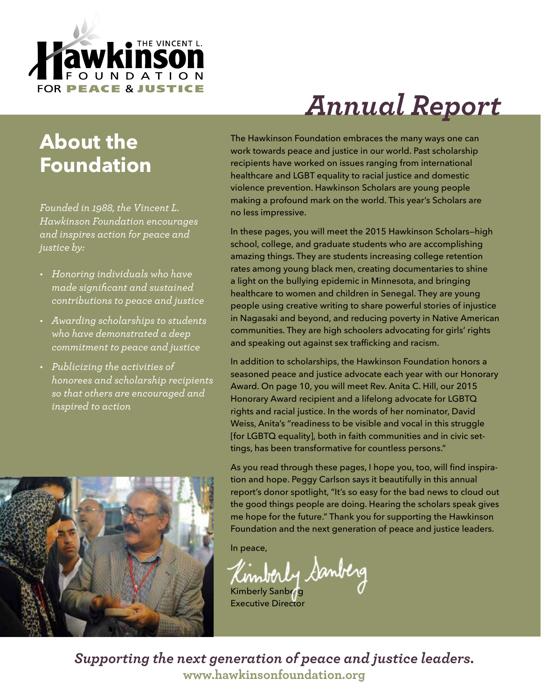

# *Annual Report*

### **About the Foundation**

*Founded in 1988, the Vincent L. Hawkinson Foundation encourages and inspires action for peace and justice by:*

- *• Honoring individuals who have made significant and sustained contributions to peace and justice*
- *• Awarding scholarships to students who have demonstrated a deep commitment to peace and justice*
- *• Publicizing the activities of honorees and scholarship recipients so that others are encouraged and inspired to action*

The Hawkinson Foundation embraces the many ways one can work towards peace and justice in our world. Past scholarship recipients have worked on issues ranging from international healthcare and LGBT equality to racial justice and domestic violence prevention. Hawkinson Scholars are young people making a profound mark on the world. This year's Scholars are no less impressive.

In these pages, you will meet the 2015 Hawkinson Scholars—high school, college, and graduate students who are accomplishing amazing things. They are students increasing college retention rates among young black men, creating documentaries to shine a light on the bullying epidemic in Minnesota, and bringing healthcare to women and children in Senegal. They are young people using creative writing to share powerful stories of injustice in Nagasaki and beyond, and reducing poverty in Native American communities. They are high schoolers advocating for girls' rights and speaking out against sex trafficking and racism.

In addition to scholarships, the Hawkinson Foundation honors a seasoned peace and justice advocate each year with our Honorary Award. On page 10, you will meet Rev. Anita C. Hill, our 2015 Honorary Award recipient and a lifelong advocate for LGBTQ rights and racial justice. In the words of her nominator, David Weiss, Anita's "readiness to be visible and vocal in this struggle [for LGBTQ equality], both in faith communities and in civic settings, has been transformative for countless persons."

As you read through these pages, I hope you, too, will find inspiration and hope. Peggy Carlson says it beautifully in this annual report's donor spotlight, "It's so easy for the bad news to cloud out the good things people are doing. Hearing the scholars speak gives me hope for the future." Thank you for supporting the Hawkinson Foundation and the next generation of peace and justice leaders.

In peace,

Banberg Kimberly Sanberg

Executive Director

*Supporting the next generation of peace and justice leaders.* **www.hawkinsonfoundation.org**

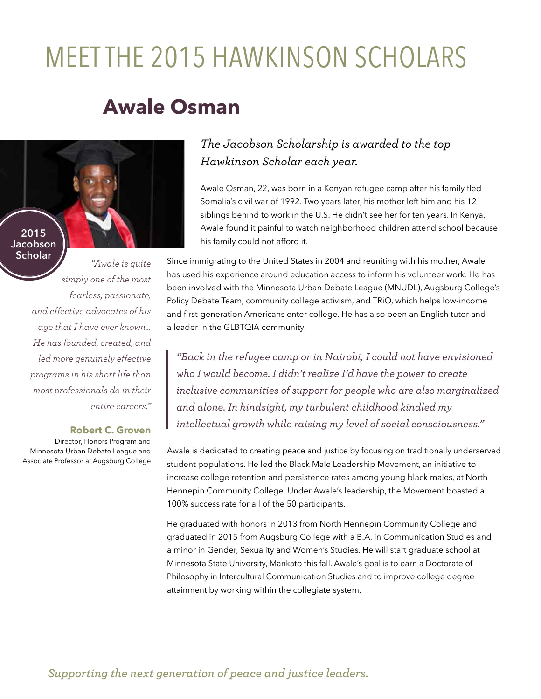## MEET THE 2015 HAWKINSON SCHOLARS

### **Awale Osman**

**2015 Jacobson Scholar**

> *simply one of the most fearless, passionate, and effective advocates of his age that I have ever known... He has founded, created, and led more genuinely effective programs in his short life than most professionals do in their entire careers."*

#### **Robert C. Groven**

*"Awale is quite* 

Director, Honors Program and Minnesota Urban Debate League and Associate Professor at Augsburg College

### *The Jacobson Scholarship is awarded to the top Hawkinson Scholar each year.*

Awale Osman, 22, was born in a Kenyan refugee camp after his family fled Somalia's civil war of 1992. Two years later, his mother left him and his 12 siblings behind to work in the U.S. He didn't see her for ten years. In Kenya, Awale found it painful to watch neighborhood children attend school because his family could not afford it.

Since immigrating to the United States in 2004 and reuniting with his mother, Awale has used his experience around education access to inform his volunteer work. He has been involved with the Minnesota Urban Debate League (MNUDL), Augsburg College's Policy Debate Team, community college activism, and TRiO, which helps low-income and first-generation Americans enter college. He has also been an English tutor and a leader in the GLBTQIA community.

*"Back in the refugee camp or in Nairobi, I could not have envisioned who I would become. I didn't realize I'd have the power to create inclusive communities of support for people who are also marginalized and alone. In hindsight, my turbulent childhood kindled my intellectual growth while raising my level of social consciousness."*

Awale is dedicated to creating peace and justice by focusing on traditionally underserved student populations. He led the Black Male Leadership Movement, an initiative to increase college retention and persistence rates among young black males, at North Hennepin Community College. Under Awale's leadership, the Movement boasted a 100% success rate for all of the 50 participants.

He graduated with honors in 2013 from North Hennepin Community College and graduated in 2015 from Augsburg College with a B.A. in Communication Studies and a minor in Gender, Sexuality and Women's Studies. He will start graduate school at Minnesota State University, Mankato this fall. Awale's goal is to earn a Doctorate of Philosophy in Intercultural Communication Studies and to improve college degree attainment by working within the collegiate system.

*Supporting the next generation of peace and justice leaders.*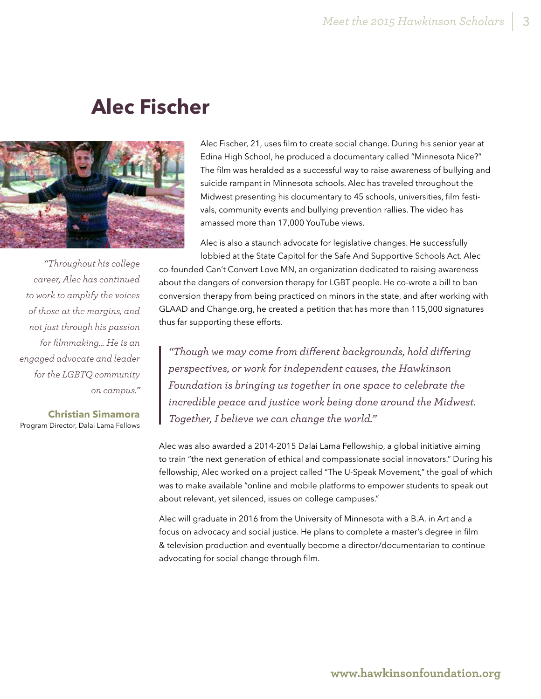### **Alec Fischer**



amassed more than 17,000 YouTube views. Alec is also a staunch advocate for legislative changes. He successfully lobbied at the State Capitol for the Safe And Supportive Schools Act. Alec co-founded Can't Convert Love MN, an organization dedicated to raising awareness about the dangers of conversion therapy for LGBT people. He co-wrote a bill to ban conversion therapy from being practiced on minors in the state, and after working with GLAAD and Change.org, he created a petition that has more than 115,000 signatures thus far supporting these efforts. *"Throughout his college* 

> *"Though we may come from different backgrounds, hold differing perspectives, or work for independent causes, the Hawkinson Foundation is bringing us together in one space to celebrate the incredible peace and justice work being done around the Midwest. Together, I believe we can change the world."*

Alec Fischer, 21, uses film to create social change. During his senior year at Edina High School, he produced a documentary called "Minnesota Nice?" The film was heralded as a successful way to raise awareness of bullying and suicide rampant in Minnesota schools. Alec has traveled throughout the Midwest presenting his documentary to 45 schools, universities, film festivals, community events and bullying prevention rallies. The video has

Alec was also awarded a 2014-2015 Dalai Lama Fellowship, a global initiative aiming to train "the next generation of ethical and compassionate social innovators." During his fellowship, Alec worked on a project called "The U-Speak Movement," the goal of which was to make available "online and mobile platforms to empower students to speak out about relevant, yet silenced, issues on college campuses."

Alec will graduate in 2016 from the University of Minnesota with a B.A. in Art and a focus on advocacy and social justice. He plans to complete a master's degree in film & television production and eventually become a director/documentarian to continue advocating for social change through film.

*career, Alec has continued to work to amplify the voices of those at the margins, and not just through his passion for filmmaking… He is an engaged advocate and leader for the LGBTQ community on campus."* 

**Christian Simamora**

Program Director, Dalai Lama Fellows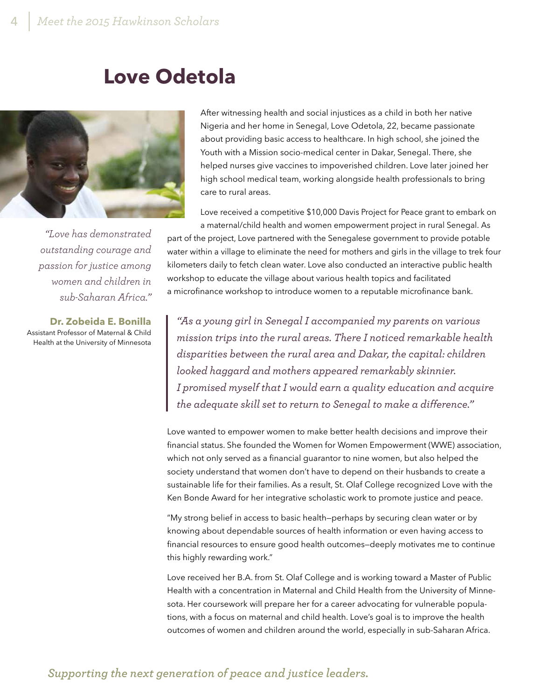### **Love Odetola**



*"Love has demonstrated outstanding courage and passion for justice among women and children in sub-Saharan Africa."* 

**Dr. Zobeida E. Bonilla** Assistant Professor of Maternal & Child Health at the University of Minnesota

After witnessing health and social injustices as a child in both her native Nigeria and her home in Senegal, Love Odetola, 22, became passionate about providing basic access to healthcare. In high school, she joined the Youth with a Mission socio-medical center in Dakar, Senegal. There, she helped nurses give vaccines to impoverished children. Love later joined her high school medical team, working alongside health professionals to bring care to rural areas.

Love received a competitive \$10,000 Davis Project for Peace grant to embark on a maternal/child health and women empowerment project in rural Senegal. As

part of the project, Love partnered with the Senegalese government to provide potable water within a village to eliminate the need for mothers and girls in the village to trek four kilometers daily to fetch clean water. Love also conducted an interactive public health workshop to educate the village about various health topics and facilitated a microfinance workshop to introduce women to a reputable microfinance bank.

*"As a young girl in Senegal I accompanied my parents on various mission trips into the rural areas. There I noticed remarkable health disparities between the rural area and Dakar, the capital: children looked haggard and mothers appeared remarkably skinnier. I promised myself that I would earn a quality education and acquire the adequate skill set to return to Senegal to make a difference."*

Love wanted to empower women to make better health decisions and improve their financial status. She founded the Women for Women Empowerment (WWE) association, which not only served as a financial guarantor to nine women, but also helped the society understand that women don't have to depend on their husbands to create a sustainable life for their families. As a result, St. Olaf College recognized Love with the Ken Bonde Award for her integrative scholastic work to promote justice and peace.

"My strong belief in access to basic health—perhaps by securing clean water or by knowing about dependable sources of health information or even having access to financial resources to ensure good health outcomes—deeply motivates me to continue this highly rewarding work."

Love received her B.A. from St. Olaf College and is working toward a Master of Public Health with a concentration in Maternal and Child Health from the University of Minnesota. Her coursework will prepare her for a career advocating for vulnerable populations, with a focus on maternal and child health. Love's goal is to improve the health outcomes of women and children around the world, especially in sub-Saharan Africa.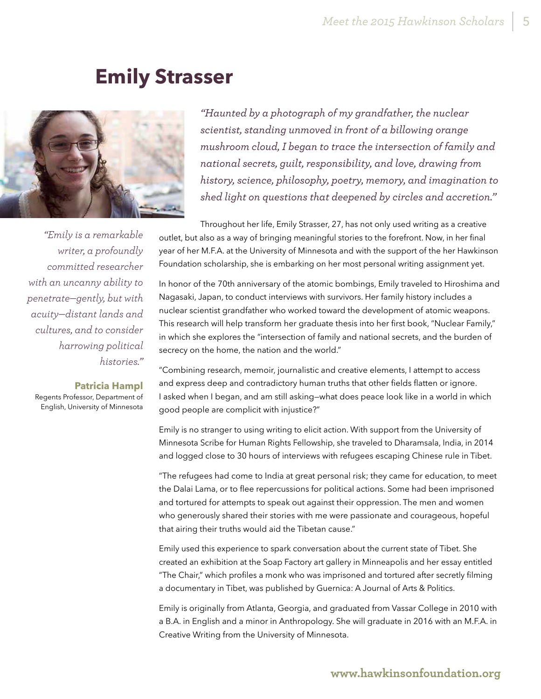### **Emily Strasser**



*"Emily is a remarkable writer, a profoundly committed researcher with an uncanny ability to penetrate—gently, but with acuity—distant lands and cultures, and to consider harrowing political histories."* 

#### **Patricia Hampl**

Regents Professor, Department of English, University of Minnesota

*"Haunted by a photograph of my grandfather, the nuclear scientist, standing unmoved in front of a billowing orange mushroom cloud, I began to trace the intersection of family and national secrets, guilt, responsibility, and love, drawing from history, science, philosophy, poetry, memory, and imagination to shed light on questions that deepened by circles and accretion."*

Throughout her life, Emily Strasser, 27, has not only used writing as a creative outlet, but also as a way of bringing meaningful stories to the forefront. Now, in her final year of her M.F.A. at the University of Minnesota and with the support of the her Hawkinson Foundation scholarship, she is embarking on her most personal writing assignment yet.

In honor of the 70th anniversary of the atomic bombings, Emily traveled to Hiroshima and Nagasaki, Japan, to conduct interviews with survivors. Her family history includes a nuclear scientist grandfather who worked toward the development of atomic weapons. This research will help transform her graduate thesis into her first book, "Nuclear Family," in which she explores the "intersection of family and national secrets, and the burden of secrecy on the home, the nation and the world."

"Combining research, memoir, journalistic and creative elements, I attempt to access and express deep and contradictory human truths that other fields flatten or ignore. I asked when I began, and am still asking—what does peace look like in a world in which good people are complicit with injustice?"

Emily is no stranger to using writing to elicit action. With support from the University of Minnesota Scribe for Human Rights Fellowship, she traveled to Dharamsala, India, in 2014 and logged close to 30 hours of interviews with refugees escaping Chinese rule in Tibet.

"The refugees had come to India at great personal risk; they came for education, to meet the Dalai Lama, or to flee repercussions for political actions. Some had been imprisoned and tortured for attempts to speak out against their oppression. The men and women who generously shared their stories with me were passionate and courageous, hopeful that airing their truths would aid the Tibetan cause."

Emily used this experience to spark conversation about the current state of Tibet. She created an exhibition at the Soap Factory art gallery in Minneapolis and her essay entitled "The Chair," which profiles a monk who was imprisoned and tortured after secretly filming a documentary in Tibet, was published by Guernica: A Journal of Arts & Politics.

Emily is originally from Atlanta, Georgia, and graduated from Vassar College in 2010 with a B.A. in English and a minor in Anthropology. She will graduate in 2016 with an M.F.A. in Creative Writing from the University of Minnesota.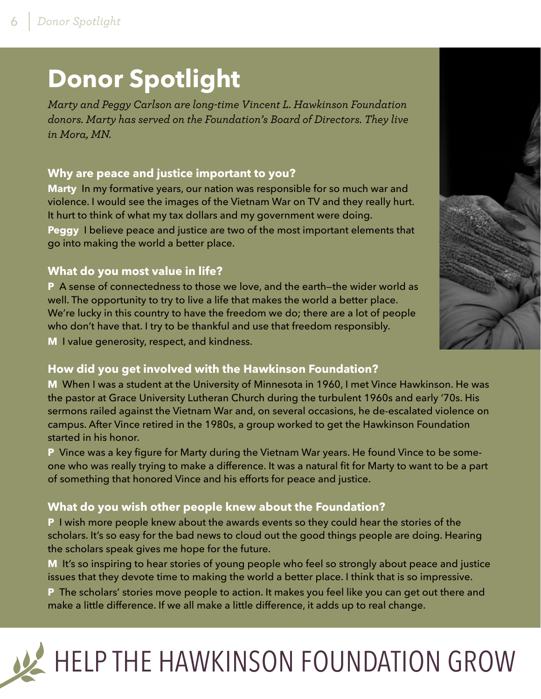## **Donor Spotlight**

*Marty and Peggy Carlson are long-time Vincent L. Hawkinson Foundation donors. Marty has served on the Foundation's Board of Directors. They live in Mora, MN.* 

#### **Why are peace and justice important to you?**

**Marty** In my formative years, our nation was responsible for so much war and violence. I would see the images of the Vietnam War on TV and they really hurt. It hurt to think of what my tax dollars and my government were doing.

**Peggy** I believe peace and justice are two of the most important elements that go into making the world a better place.

#### **What do you most value in life?**

**P** A sense of connectedness to those we love, and the earth—the wider world as well. The opportunity to try to live a life that makes the world a better place. We're lucky in this country to have the freedom we do; there are a lot of people who don't have that. I try to be thankful and use that freedom responsibly. **M** I value generosity, respect, and kindness.

### **How did you get involved with the Hawkinson Foundation?**

**M** When I was a student at the University of Minnesota in 1960, I met Vince Hawkinson. He was the pastor at Grace University Lutheran Church during the turbulent 1960s and early '70s. His sermons railed against the Vietnam War and, on several occasions, he de-escalated violence on campus. After Vince retired in the 1980s, a group worked to get the Hawkinson Foundation started in his honor.

**P** Vince was a key figure for Marty during the Vietnam War years. He found Vince to be someone who was really trying to make a difference. It was a natural fit for Marty to want to be a part of something that honored Vince and his efforts for peace and justice.

### **What do you wish other people knew about the Foundation?**

**P** I wish more people knew about the awards events so they could hear the stories of the scholars. It's so easy for the bad news to cloud out the good things people are doing. Hearing the scholars speak gives me hope for the future.

**M** It's so inspiring to hear stories of young people who feel so strongly about peace and justice issues that they devote time to making the world a better place. I think that is so impressive.

**P** The scholars' stories move people to action. It makes you feel like you can get out there and make a little difference. If we all make a little difference, it adds up to real change.

# HELP THE HAWKINSON FOUNDATION GROW

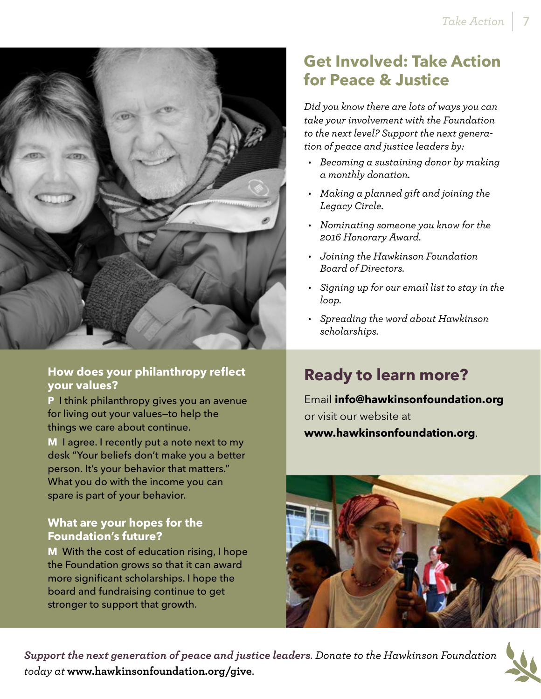

#### **How does your philanthropy reflect your values?**

**P** I think philanthropy gives you an avenue for living out your values—to help the things we care about continue.

**M** I agree. I recently put a note next to my desk "Your beliefs don't make you a better person. It's your behavior that matters." What you do with the income you can spare is part of your behavior.

#### **What are your hopes for the Foundation's future?**

**M** With the cost of education rising, I hope the Foundation grows so that it can award more significant scholarships. I hope the board and fundraising continue to get stronger to support that growth.

### **Get Involved: Take Action for Peace & Justice**

*Did you know there are lots of ways you can take your involvement with the Foundation to the next level? Support the next generation of peace and justice leaders by:* 

- *• Becoming a sustaining donor by making a monthly donation.*
- *• Making a planned gift and joining the Legacy Circle.*
- *• Nominating someone you know for the 2016 Honorary Award.*
- *• Joining the Hawkinson Foundation Board of Directors.*
- *• Signing up for our email list to stay in the loop.*
- *• Spreading the word about Hawkinson scholarships.*

### **Ready to learn more?**

Email **info@hawkinsonfoundation.org** or visit our website at **www.hawkinsonfoundation.org**.



*Support the next generation of peace and justice leaders. Donate to the Hawkinson Foundation today at* **www.hawkinsonfoundation.org/give**.

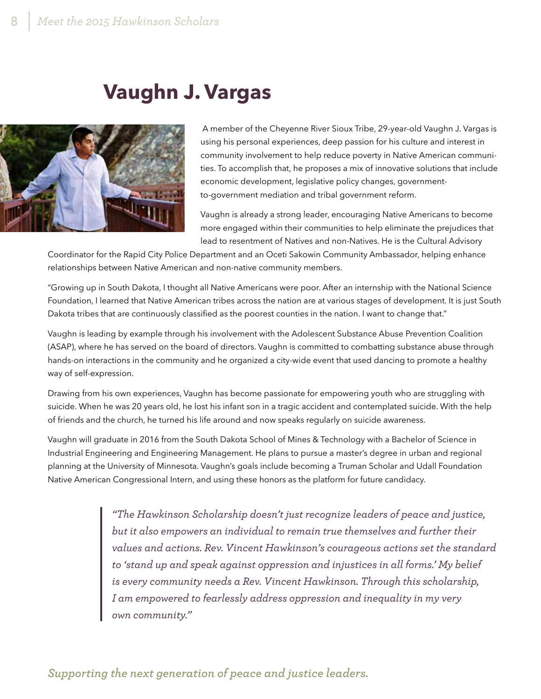### **Vaughn J. Vargas**



 A member of the Cheyenne River Sioux Tribe, 29-year-old Vaughn J. Vargas is using his personal experiences, deep passion for his culture and interest in community involvement to help reduce poverty in Native American communities. To accomplish that, he proposes a mix of innovative solutions that include economic development, legislative policy changes, governmentto-government mediation and tribal government reform.

Vaughn is already a strong leader, encouraging Native Americans to become more engaged within their communities to help eliminate the prejudices that lead to resentment of Natives and non-Natives. He is the Cultural Advisory

Coordinator for the Rapid City Police Department and an Oceti Sakowin Community Ambassador, helping enhance relationships between Native American and non-native community members.

"Growing up in South Dakota, I thought all Native Americans were poor. After an internship with the National Science Foundation, I learned that Native American tribes across the nation are at various stages of development. It is just South Dakota tribes that are continuously classified as the poorest counties in the nation. I want to change that."

Vaughn is leading by example through his involvement with the Adolescent Substance Abuse Prevention Coalition (ASAP), where he has served on the board of directors. Vaughn is committed to combatting substance abuse through hands-on interactions in the community and he organized a city-wide event that used dancing to promote a healthy way of self-expression.

Drawing from his own experiences, Vaughn has become passionate for empowering youth who are struggling with suicide. When he was 20 years old, he lost his infant son in a tragic accident and contemplated suicide. With the help of friends and the church, he turned his life around and now speaks regularly on suicide awareness.

Vaughn will graduate in 2016 from the South Dakota School of Mines & Technology with a Bachelor of Science in Industrial Engineering and Engineering Management. He plans to pursue a master's degree in urban and regional planning at the University of Minnesota. Vaughn's goals include becoming a Truman Scholar and Udall Foundation Native American Congressional Intern, and using these honors as the platform for future candidacy.

> *"The Hawkinson Scholarship doesn't just recognize leaders of peace and justice, but it also empowers an individual to remain true themselves and further their values and actions. Rev. Vincent Hawkinson's courageous actions set the standard to 'stand up and speak against oppression and injustices in all forms.' My belief is every community needs a Rev. Vincent Hawkinson. Through this scholarship, I am empowered to fearlessly address oppression and inequality in my very own community."*

*Supporting the next generation of peace and justice leaders.*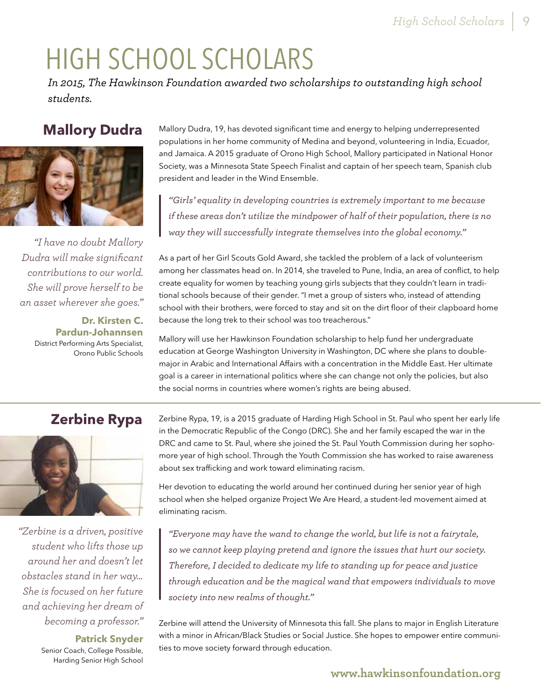# HIGH SCHOOL SCHOLARS

*In 2015, The Hawkinson Foundation awarded two scholarships to outstanding high school students.* 

### **Mallory Dudra**



*"I have no doubt Mallory Dudra will make significant contributions to our world. She will prove herself to be an asset wherever she goes."*

> **Dr. Kirsten C. Pardun-Johannsen** District Performing Arts Specialist, Orono Public Schools

Mallory Dudra, 19, has devoted significant time and energy to helping underrepresented populations in her home community of Medina and beyond, volunteering in India, Ecuador, and Jamaica. A 2015 graduate of Orono High School, Mallory participated in National Honor Society, was a Minnesota State Speech Finalist and captain of her speech team, Spanish club president and leader in the Wind Ensemble.

*"Girls' equality in developing countries is extremely important to me because if these areas don't utilize the mindpower of half of their population, there is no way they will successfully integrate themselves into the global economy."*

As a part of her Girl Scouts Gold Award, she tackled the problem of a lack of volunteerism among her classmates head on. In 2014, she traveled to Pune, India, an area of conflict, to help create equality for women by teaching young girls subjects that they couldn't learn in traditional schools because of their gender. "I met a group of sisters who, instead of attending school with their brothers, were forced to stay and sit on the dirt floor of their clapboard home because the long trek to their school was too treacherous."

Mallory will use her Hawkinson Foundation scholarship to help fund her undergraduate education at George Washington University in Washington, DC where she plans to doublemajor in Arabic and International Affairs with a concentration in the Middle East. Her ultimate goal is a career in international politics where she can change not only the policies, but also the social norms in countries where women's rights are being abused.

### **Zerbine Rypa**



*"Zerbine is a driven, positive student who lifts those up around her and doesn't let obstacles stand in her way… She is focused on her future and achieving her dream of becoming a professor."*

**Patrick Snyder**

Senior Coach, College Possible, Harding Senior High School Zerbine Rypa, 19, is a 2015 graduate of Harding High School in St. Paul who spent her early life in the Democratic Republic of the Congo (DRC). She and her family escaped the war in the DRC and came to St. Paul, where she joined the St. Paul Youth Commission during her sophomore year of high school. Through the Youth Commission she has worked to raise awareness about sex trafficking and work toward eliminating racism.

Her devotion to educating the world around her continued during her senior year of high school when she helped organize Project We Are Heard, a student-led movement aimed at eliminating racism.

*"Everyone may have the wand to change the world, but life is not a fairytale, so we cannot keep playing pretend and ignore the issues that hurt our society. Therefore, I decided to dedicate my life to standing up for peace and justice through education and be the magical wand that empowers individuals to move society into new realms of thought."*

Zerbine will attend the University of Minnesota this fall. She plans to major in English Literature with a minor in African/Black Studies or Social Justice. She hopes to empower entire communities to move society forward through education.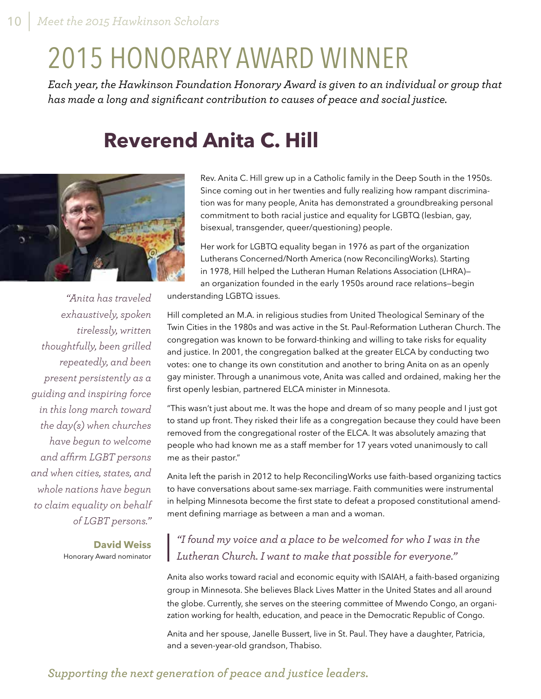## 2015 HONORARY AWARD WINNER

*Each year, the Hawkinson Foundation Honorary Award is given to an individual or group that has made a long and significant contribution to causes of peace and social justice.*

### **Reverend Anita C. Hill**



*"Anita has traveled exhaustively, spoken tirelessly, written thoughtfully, been grilled repeatedly, and been present persistently as a guiding and inspiring force in this long march toward the day(s) when churches have begun to welcome and affirm LGBT persons and when cities, states, and whole nations have begun to claim equality on behalf of LGBT persons."* 

> **David Weiss** Honorary Award nominator

Rev. Anita C. Hill grew up in a Catholic family in the Deep South in the 1950s. Since coming out in her twenties and fully realizing how rampant discrimination was for many people, Anita has demonstrated a groundbreaking personal commitment to both racial justice and equality for LGBTQ (lesbian, gay, bisexual, transgender, queer/questioning) people.

Her work for LGBTQ equality began in 1976 as part of the organization Lutherans Concerned/North America (now ReconcilingWorks). Starting in 1978, Hill helped the Lutheran Human Relations Association (LHRA) an organization founded in the early 1950s around race relations—begin

understanding LGBTQ issues.

Hill completed an M.A. in religious studies from United Theological Seminary of the Twin Cities in the 1980s and was active in the St. Paul-Reformation Lutheran Church. The congregation was known to be forward-thinking and willing to take risks for equality and justice. In 2001, the congregation balked at the greater ELCA by conducting two votes: one to change its own constitution and another to bring Anita on as an openly gay minister. Through a unanimous vote, Anita was called and ordained, making her the first openly lesbian, partnered ELCA minister in Minnesota.

"This wasn't just about me. It was the hope and dream of so many people and I just got to stand up front. They risked their life as a congregation because they could have been removed from the congregational roster of the ELCA. It was absolutely amazing that people who had known me as a staff member for 17 years voted unanimously to call me as their pastor."

Anita left the parish in 2012 to help ReconcilingWorks use faith-based organizing tactics to have conversations about same-sex marriage. Faith communities were instrumental in helping Minnesota become the first state to defeat a proposed constitutional amendment defining marriage as between a man and a woman.

### *"I found my voice and a place to be welcomed for who I was in the Lutheran Church. I want to make that possible for everyone."*

Anita also works toward racial and economic equity with ISAIAH, a faith-based organizing group in Minnesota. She believes Black Lives Matter in the United States and all around the globe. Currently, she serves on the steering committee of Mwendo Congo, an organization working for health, education, and peace in the Democratic Republic of Congo.

Anita and her spouse, Janelle Bussert, live in St. Paul. They have a daughter, Patricia, and a seven-year-old grandson, Thabiso.

### *Supporting the next generation of peace and justice leaders.*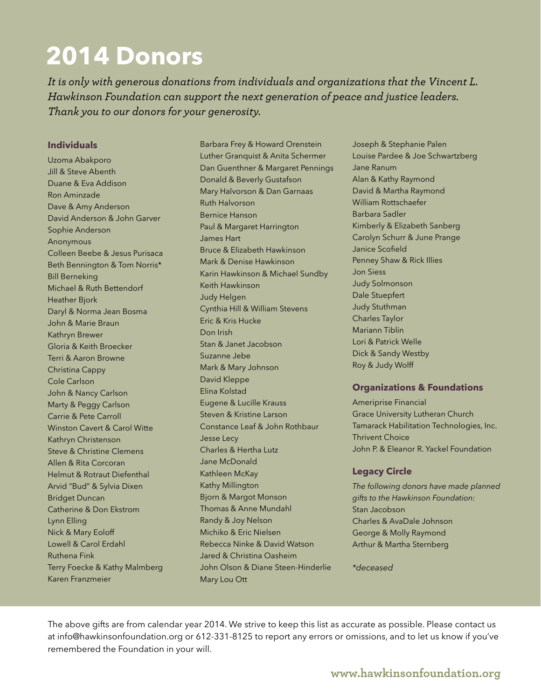## **2014 Donors**

*It is only with generous donations from individuals and organizations that the Vincent L. Hawkinson Foundation can support the next generation of peace and justice leaders. Thank you to our donors for your generosity.*

#### **Individuals**

Uzoma Abakporo Jill & Steve Abenth Duane & Eva Addison Ron Aminzade Dave & Amy Anderson David Anderson & John Garver Sophie Anderson Anonymous Colleen Beebe & Jesus Purisaca Beth Bennington & Tom Norris\* Bill Berneking Michael & Ruth Bettendorf Heather Bjork Daryl & Norma Jean Bosma John & Marie Braun Kathryn Brewer Gloria & Keith Broecker Terri & Aaron Browne Christina Cappy Cole Carlson John & Nancy Carlson Marty & Peggy Carlson Carrie & Pete Carroll Winston Cavert & Carol Witte Kathryn Christenson Steve & Christine Clemens Allen & Rita Corcoran Helmut & Rotraut Diefenthal Arvid "Bud" & Sylvia Dixen Bridget Duncan Catherine & Don Ekstrom Lynn Elling Nick & Mary Eoloff Lowell & Carol Erdahl Ruthena Fink Terry Foecke & Kathy Malmberg Karen Franzmeier

Barbara Frey & Howard Orenstein Luther Granquist & Anita Schermer Dan Guenthner & Margaret Pennings Donald & Beverly Gustafson Mary Halvorson & Dan Garnaas Ruth Halvorson Bernice Hanson Paul & Margaret Harrington James Hart Bruce & Elizabeth Hawkinson Mark & Denise Hawkinson Karin Hawkinson & Michael Sundby Keith Hawkinson Judy Helgen Cynthia Hill & William Stevens Eric & Kris Hucke Don Irish Stan & Janet Jacobson Suzanne Jebe Mark & Mary Johnson David Kleppe Elina Kolstad Eugene & Lucille Krauss Steven & Kristine Larson Constance Leaf & John Rothbaur Jesse Lecy Charles & Hertha Lutz Jane McDonald Kathleen McKay Kathy Millington Bjorn & Margot Monson Thomas & Anne Mundahl Randy & Joy Nelson Michiko & Eric Nielsen Rebecca Ninke & David Watson Jared & Christina Oasheim John Olson & Diane Steen-Hinderlie Mary Lou Ott

Joseph & Stephanie Palen Louise Pardee & Joe Schwartzberg Jane Ranum Alan & Kathy Raymond David & Martha Raymond William Rottschaefer Barbara Sadler Kimberly & Elizabeth Sanberg Carolyn Schurr & June Prange Janice Scofield Penney Shaw & Rick Illies Jon Siess Judy Solmonson Dale Stuepfert Judy Stuthman Charles Taylor Mariann Tiblin Lori & Patrick Welle Dick & Sandy Westby Roy & Judy Wolff

#### **Organizations & Foundations**

Ameriprise Financial Grace University Lutheran Church Tamarack Habilitation Technologies, Inc. Thrivent Choice John P. & Eleanor R. Yackel Foundation

#### **Legacy Circle**

*The following donors have made planned gifts to the Hawkinson Foundation:* Stan Jacobson Charles & AvaDale Johnson George & Molly Raymond Arthur & Martha Sternberg

*\*deceased*

The above gifts are from calendar year 2014. We strive to keep this list as accurate as possible. Please contact us at info@hawkinsonfoundation.org or 612-331-8125 to report any errors or omissions, and to let us know if you've remembered the Foundation in your will.